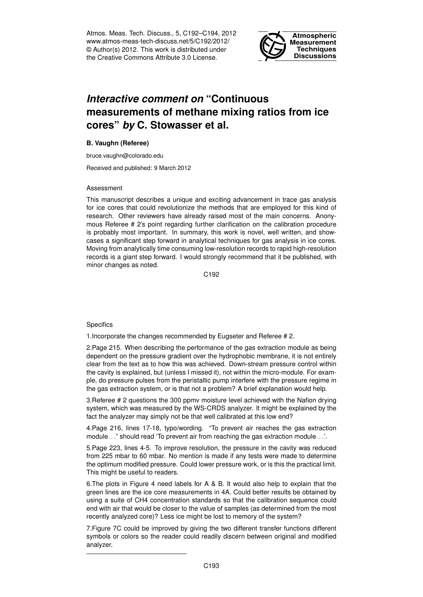Atmos. Meas. Tech. Discuss., 5, C192–C194, 2012 www.atmos-meas-tech-discuss.net/5/C192/2012/ © Author(s) 2012. This work is distributed under the Creative Commons Attribute 3.0 License.



## *Interactive comment on* **"Continuous measurements of methane mixing ratios from ice cores"** *by* **C. Stowasser et al.**

## **B. Vaughn (Referee)**

bruce.vaughn@colorado.edu

Received and published: 9 March 2012

## Assessment

This manuscript describes a unique and exciting advancement in trace gas analysis for ice cores that could revolutionize the methods that are employed for this kind of research. Other reviewers have already raised most of the main concerns. Anonymous Referee # 2's point regarding further clarification on the calibration procedure is probably most important. In summary, this work is novel, well written, and showcases a significant step forward in analytical techniques for gas analysis in ice cores. Moving from analytically time consuming low-resolution records to rapid high-resolution records is a giant step forward. I would strongly recommend that it be published, with minor changes as noted.

C192

## **Specifics**

1.Incorporate the changes recommended by Eugseter and Referee # 2.

2.Page 215. When describing the performance of the gas extraction module as being dependent on the pressure gradient over the hydrophobic membrane, it is not entirely clear from the text as to how this was achieved. Down-stream pressure control within the cavity is explained, but (unless I missed it), not within the micro-module. For example, do pressure pulses from the peristaltic pump interfere with the pressure regime in the gas extraction system, or is that not a problem? A brief explanation would help.

3.Referee # 2 questions the 300 ppmv moisture level achieved with the Nafion drying system, which was measured by the WS-CRDS analyzer. It might be explained by the fact the analyzer may simply not be that well calibrated at this low end?

4.Page 216, lines 17-18, typo/wording. "To prevent air reaches the gas extraction module. . ." should read 'To prevent air from reaching the gas extraction module. . .'.

5.Page 223, lines 4-5. To improve resolution, the pressure in the cavity was reduced from 225 mbar to 60 mbar. No mention is made if any tests were made to determine the optimum modified pressure. Could lower pressure work, or is this the practical limit. This might be useful to readers.

6.The plots in Figure 4 need labels for A & B. It would also help to explain that the green lines are the ice core measurements in 4A. Could better results be obtained by using a suite of CH4 concentration standards so that the calibration sequence could end with air that would be closer to the value of samples (as determined from the most recently analyzed core)? Less ice might be lost to memory of the system?

7.Figure 7C could be improved by giving the two different transfer functions different symbols or colors so the reader could readily discern between original and modified analyzer.